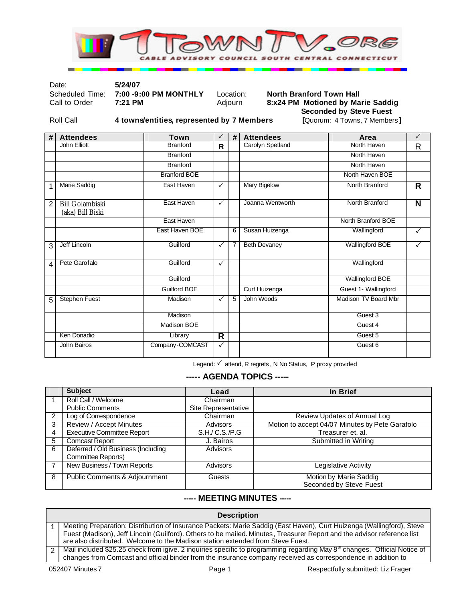

#### Date: **5/24/07**

#### Scheduled Time: **7:00 -9:00 PM MONTHLY** Location: **North Branford Town Hall** Call to Order **7:21 PM** Adjourn **8:x24 PM Motioned by Marie Saddig Seconded by Steve Fuest**

Roll Call **4 towns/entities, represented by 7 Members [**Quorum: 4 Towns, 7 Members **]**

| #              | <b>Attendees</b>                           | Town                | $\checkmark$ | #              | <b>Attendees</b>    | Area                   | $\checkmark$ |
|----------------|--------------------------------------------|---------------------|--------------|----------------|---------------------|------------------------|--------------|
|                | John Elliott                               | <b>Branford</b>     | R            |                | Carolyn Spetland    | North Haven            | R            |
|                |                                            | <b>Branford</b>     |              |                |                     | North Haven            |              |
|                |                                            | <b>Branford</b>     |              |                |                     | North Haven            |              |
|                |                                            | <b>Branford BOE</b> |              |                |                     | North Haven BOE        |              |
| 1              | <b>Marie Saddig</b>                        | East Haven          | $\checkmark$ |                | <b>Mary Bigelow</b> | North Branford         | R            |
| $\overline{2}$ | <b>Bill Golambiski</b><br>(aka) Bill Biski | East Haven          | $\checkmark$ |                | Joanna Wentworth    | North Branford         | N            |
|                |                                            | East Haven          |              |                |                     | North Branford BOE     |              |
|                |                                            | East Haven BOE      |              | 6              | Susan Huizenga      | Wallingford            | $\checkmark$ |
| 3              | Jeff Lincoln                               | Guilford            | $\checkmark$ | $\overline{7}$ | <b>Beth Devaney</b> | <b>Wallingford BOE</b> | $\checkmark$ |
| 4              | Pete Garofalo                              | Guilford            | $\checkmark$ |                |                     | Wallingford            |              |
|                |                                            | Guilford            |              |                |                     | <b>Wallingford BOE</b> |              |
|                |                                            | Guilford BOE        |              |                | Curt Huizenga       | Guest 1- Wallingford   |              |
| 5              | <b>Stephen Fuest</b>                       | Madison             | ✓            | $\overline{5}$ | John Woods          | Madison TV Board Mbr   |              |
|                |                                            | Madison             |              |                |                     | Guest 3                |              |
|                |                                            | Madison BOE         |              |                |                     | Guest 4                |              |
|                | Ken Donadio                                | Library             | R            |                |                     | Guest 5                |              |
|                | John Bairos                                | Company-COMCAST     | ✓            |                |                     | Guest <sub>6</sub>     |              |

Legend: √ attend, R regrets, N No Status, P proxy provided

## **----- AGENDA TOPICS -----**

|                | <b>Subject</b>                           | Lead                | In Brief                                        |
|----------------|------------------------------------------|---------------------|-------------------------------------------------|
|                | Roll Call / Welcome                      | Chairman            |                                                 |
|                | <b>Public Comments</b>                   | Site Representative |                                                 |
| $\overline{2}$ | Log of Correspondence                    | Chairman            | Review Updates of Annual Log                    |
| 3              | Review / Accept Minutes                  | Advisors            | Motion to accept 04/07 Minutes by Pete Garafolo |
| 4              | <b>Executive Committee Report</b>        | S.H/C.S./P.G        | Treasurer et. al.                               |
| 5              | <b>Comcast Report</b>                    | J. Bairos           | Submitted in Writing                            |
| 6              | Deferred / Old Business (Including       | Advisors            |                                                 |
|                | Committee Reports)                       |                     |                                                 |
|                | New Business / Town Reports              | <b>Advisors</b>     | Legislative Activity                            |
| 8              | <b>Public Comments &amp; Adjournment</b> | Guests              | Motion by Marie Saddig                          |
|                |                                          |                     | Seconded by Steve Fuest                         |

### **----- MEETING MINUTES -----**

| <b>Description</b> |                                                                                                                                                                                                                                                                                                                                     |  |  |  |
|--------------------|-------------------------------------------------------------------------------------------------------------------------------------------------------------------------------------------------------------------------------------------------------------------------------------------------------------------------------------|--|--|--|
|                    | Meeting Preparation: Distribution of Insurance Packets: Marie Saddig (East Haven), Curt Huizenga (Wallingford), Steve<br>Fuest (Madison), Jeff Lincoln (Guilford). Others to be mailed. Minutes, Treasurer Report and the advisor reference list<br>are also distributed. Welcome to the Madison station extended from Steve Fuest. |  |  |  |
| 2                  | Mail included \$25.25 check from igive. 2 inquiries specific to programming regarding May 8 <sup>m</sup> changes. Official Notice of<br>changes from Comcast and official binder from the insurance company received as correspondence in addition to                                                                               |  |  |  |